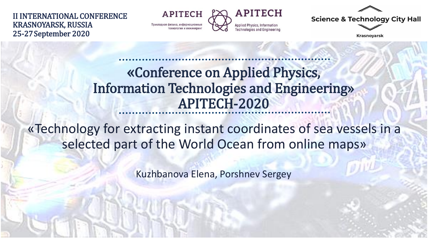II INTERNATIONAL CONFERENCE KRASNOYARSK, RUSSIA 25-27September 2020

**APITECH** Прикладная физика, информационные



**Science & Technology City Hall** 

**Krasnoyarsk** 

## «Conference on Applied Physics, Information Technologies and Engineering» APITECH-2020

«Technology for extracting instant coordinates of sea vessels in a selected part of the World Ocean from online maps»

Kuzhbanova Elena, Porshnev Sergey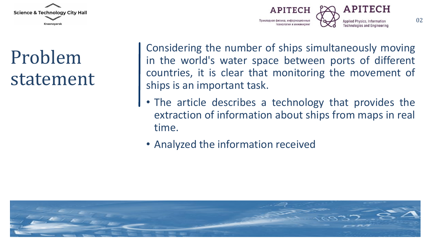



## Problem statement

Considering the number of ships simultaneously moving in the world's water space between ports of different countries, it is clear that monitoring the movement of ships is an important task.

- The article describes a technology that provides the extraction of information about ships from maps in real time.
- Analyzed the information received

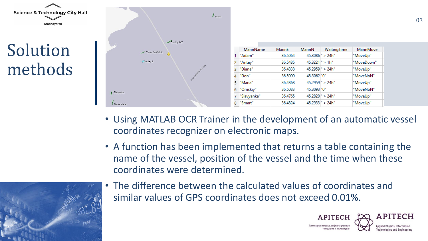

- Using MATLAB OCR Trainer in the development of an automatic vessel coordinates recognizer on electronic maps.
- A function has been implemented that returns a table containing the name of the vessel, position of the vessel and the time when these coordinates were determined.



• The difference between the calculated values of coordinates and similar values of GPS coordinates does not exceed 0.01%.

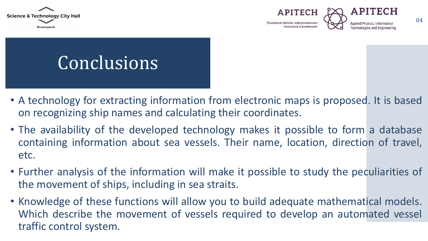





## Conclusions

- A technology for extracting information from electronic maps is proposed. It is based on recognizing ship names and calculating their coordinates.
- The availability of the developed technology makes it possible to form a database containing information about sea vessels. Their name, location, direction of travel, etc.
- Further analysis of the information will make it possible to study the peculiarities of the movement of ships, including in sea straits.
- Knowledge of these functions will allow you to build adequate mathematical models. Which describe the movement of vessels required to develop an automated vessel traffic control system.